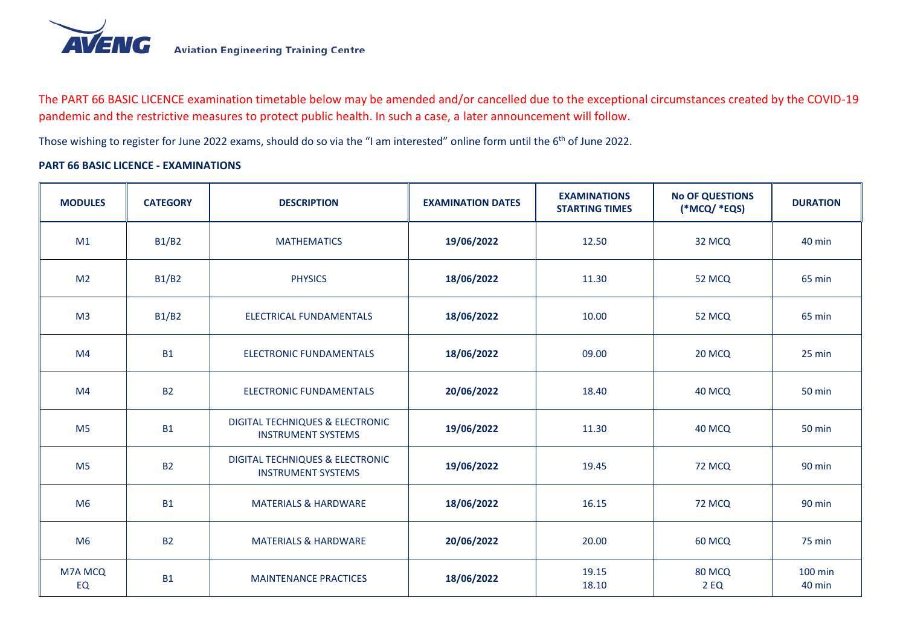

The PART 66 BASIC LICENCE examination timetable below may be amended and/or cancelled due to the exceptional circumstances created by the COVID-19 pandemic and the restrictive measures to protect public health. In such a case, a later announcement will follow.

Those wishing to register for June 2022 exams, should do so via the "I am interested" online form until the 6<sup>th</sup> of June 2022.

## **PART 66 BASIC LICENCE - EXAMINATIONS**

| <b>MODULES</b> | <b>CATEGORY</b> | <b>DESCRIPTION</b>                                                      | <b>EXAMINATION DATES</b> | <b>EXAMINATIONS</b><br><b>STARTING TIMES</b> | <b>No OF QUESTIONS</b><br>(*MCQ/ *EQS) | <b>DURATION</b>   |
|----------------|-----------------|-------------------------------------------------------------------------|--------------------------|----------------------------------------------|----------------------------------------|-------------------|
| M <sub>1</sub> | <b>B1/B2</b>    | <b>MATHEMATICS</b>                                                      | 19/06/2022               | 12.50                                        | 32 MCQ                                 | 40 min            |
| M <sub>2</sub> | <b>B1/B2</b>    | <b>PHYSICS</b>                                                          | 18/06/2022               | 11.30                                        | 52 MCQ                                 | 65 min            |
| M <sub>3</sub> | <b>B1/B2</b>    | <b>ELECTRICAL FUNDAMENTALS</b>                                          | 18/06/2022               | 10.00                                        | 52 MCQ                                 | 65 min            |
| M <sub>4</sub> | <b>B1</b>       | <b>ELECTRONIC FUNDAMENTALS</b>                                          | 18/06/2022               | 09.00                                        | 20 MCQ                                 | 25 min            |
| M4             | <b>B2</b>       | <b>ELECTRONIC FUNDAMENTALS</b>                                          | 20/06/2022               | 18.40                                        | 40 MCQ                                 | <b>50 min</b>     |
| M <sub>5</sub> | <b>B1</b>       | <b>DIGITAL TECHNIQUES &amp; ELECTRONIC</b><br><b>INSTRUMENT SYSTEMS</b> | 19/06/2022               | 11.30                                        | 40 MCQ                                 | <b>50 min</b>     |
| M <sub>5</sub> | <b>B2</b>       | <b>DIGITAL TECHNIQUES &amp; ELECTRONIC</b><br><b>INSTRUMENT SYSTEMS</b> | 19/06/2022               | 19.45                                        | <b>72 MCQ</b>                          | 90 min            |
| M <sub>6</sub> | <b>B1</b>       | <b>MATERIALS &amp; HARDWARE</b>                                         | 18/06/2022               | 16.15                                        | 72 MCQ                                 | 90 min            |
| M <sub>6</sub> | <b>B2</b>       | <b>MATERIALS &amp; HARDWARE</b>                                         | 20/06/2022               | 20.00                                        | 60 MCQ                                 | 75 min            |
| M7A MCQ<br>EQ  | <b>B1</b>       | <b>MAINTENANCE PRACTICES</b>                                            | 18/06/2022               | 19.15<br>18.10                               | 80 MCQ<br><b>2 EQ</b>                  | 100 min<br>40 min |